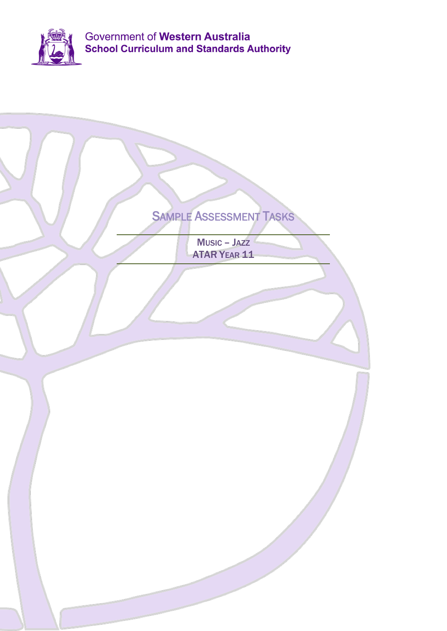

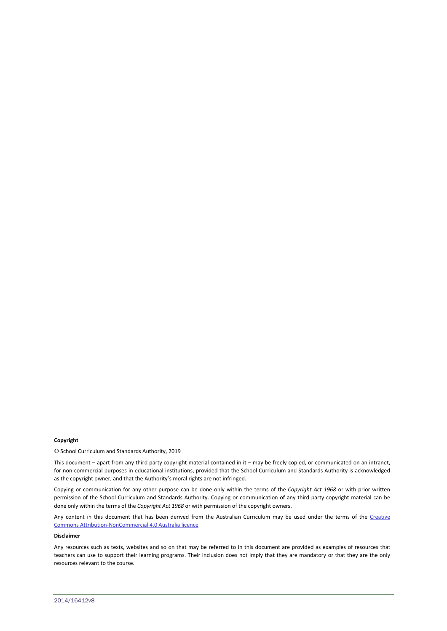#### **Copyright**

© School Curriculum and Standards Authority, 2019

This document – apart from any third party copyright material contained in it – may be freely copied, or communicated on an intranet, for non-commercial purposes in educational institutions, provided that the School Curriculum and Standards Authority is acknowledged as the copyright owner, and that the Authority's moral rights are not infringed.

Copying or communication for any other purpose can be done only within the terms of the *Copyright Act 1968* or with prior written permission of the School Curriculum and Standards Authority. Copying or communication of any third party copyright material can be done only within the terms of the *Copyright Act 1968* or with permission of the copyright owners.

Any content in this document that has been derived from the Australian Curriculum may be used under the terms of the Creative [Commons Attribution-NonCommercial 4.0 Australia licence](http://creativecommons.org/licenses/by-nc/3.0/au/)

#### **Disclaimer**

Any resources such as texts, websites and so on that may be referred to in this document are provided as examples of resources that teachers can use to support their learning programs. Their inclusion does not imply that they are mandatory or that they are the only resources relevant to the course.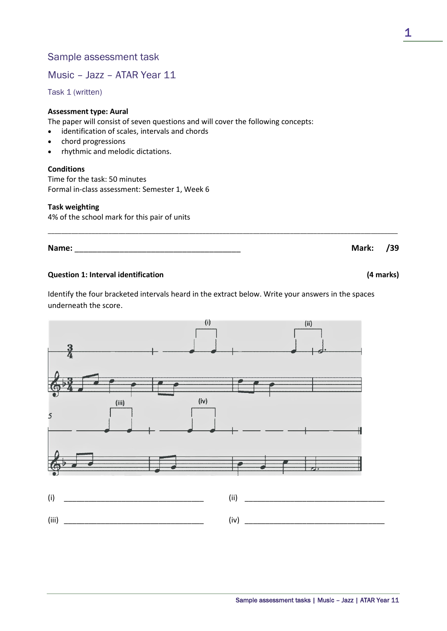Music – Jazz – ATAR Year 11

Task 1 (written)

# **Assessment type: Aural**

The paper will consist of seven questions and will cover the following concepts:

- identification of scales, intervals and chords
- chord progressions
- rhythmic and melodic dictations.

## **Conditions**

Time for the task: 50 minutes Formal in-class assessment: Semester 1, Week 6

## **Task weighting**

4% of the school mark for this pair of units

**Name:** \_\_\_\_\_\_\_\_\_\_\_\_\_\_\_\_\_\_\_\_\_\_\_\_\_\_\_\_\_\_\_\_\_\_\_\_\_ **Mark: /39**

# **Question 1: Interval identification (4 marks)**

Identify the four bracketed intervals heard in the extract below. Write your answers in the spaces underneath the score.

\_\_\_\_\_\_\_\_\_\_\_\_\_\_\_\_\_\_\_\_\_\_\_\_\_\_\_\_\_\_\_\_\_\_\_\_\_\_\_\_\_\_\_\_\_\_\_\_\_\_\_\_\_\_\_\_\_\_\_\_\_\_\_\_\_\_\_\_\_\_\_\_\_\_\_\_\_\_\_\_\_\_\_\_\_\_\_\_\_\_\_\_\_\_\_\_\_\_\_\_\_\_\_\_

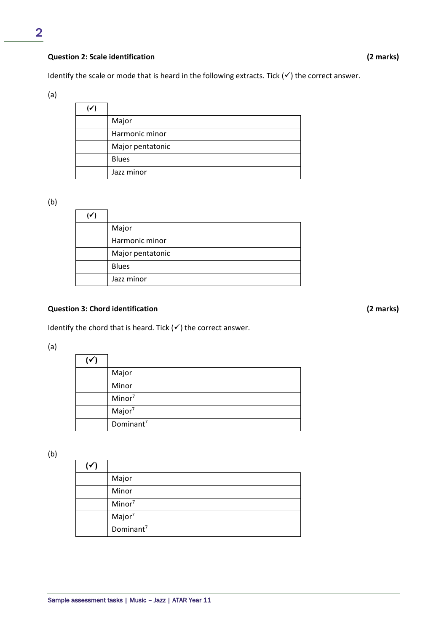# **Question 2: Scale identification (2 marks)**

Identify the scale or mode that is heard in the following extracts. Tick  $(\checkmark)$  the correct answer.

(a)

| (✓) |                  |
|-----|------------------|
|     | Major            |
|     | Harmonic minor   |
|     | Major pentatonic |
|     | <b>Blues</b>     |
|     | Jazz minor       |

(b)

| Major            |
|------------------|
| Harmonic minor   |
| Major pentatonic |
| <b>Blues</b>     |
| Jazz minor       |

# **Question 3: Chord identification (2 marks)**

Identify the chord that is heard. Tick  $(\checkmark)$  the correct answer.

(a)

| Major                 |
|-----------------------|
| Minor                 |
| Minor <sup>7</sup>    |
| Major <sup>7</sup>    |
| Dominant <sup>7</sup> |

(b)

| ∣✔ |                       |
|----|-----------------------|
|    | Major                 |
|    | Minor                 |
|    | Minor <sup>7</sup>    |
|    | Major <sup>7</sup>    |
|    | Dominant <sup>7</sup> |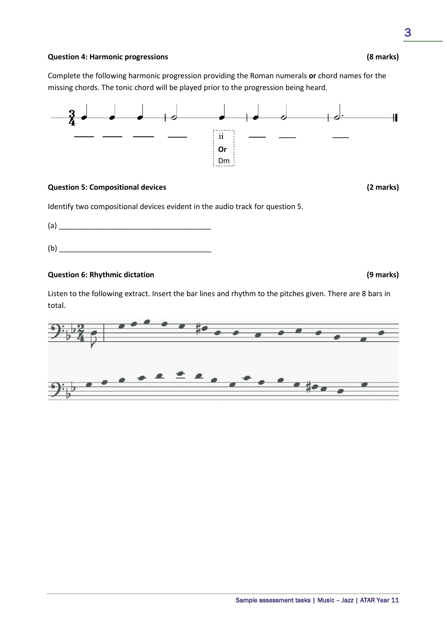### **Question 4: Harmonic progressions (8 marks)**

Complete the following harmonic progression providing the Roman numerals **or** chord names for the missing chords. The tonic chord will be played prior to the progression being heard.



#### **Question 5: Compositional devices (2 marks)**

Identify two compositional devices evident in the audio track for question 5.

(a) \_\_\_\_\_\_\_\_\_\_\_\_\_\_\_\_\_\_\_\_\_\_\_\_\_\_\_\_\_\_\_\_\_\_\_\_\_

 $(b)$ 

# **Question 6: Rhythmic dictation (9 marks)**

Listen to the following extract. Insert the bar lines and rhythm to the pitches given. There are 8 bars in total.

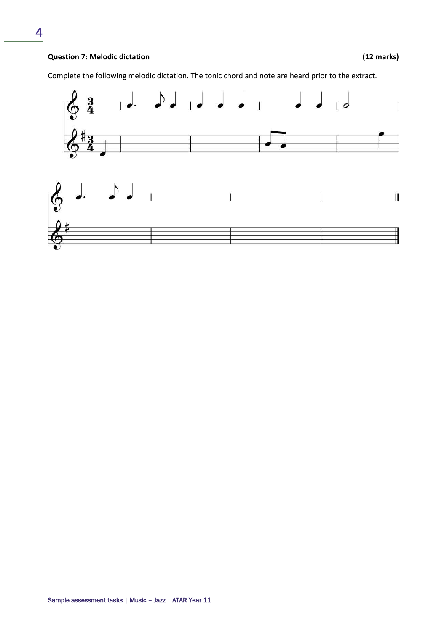Complete the following melodic dictation. The tonic chord and note are heard prior to the extract.

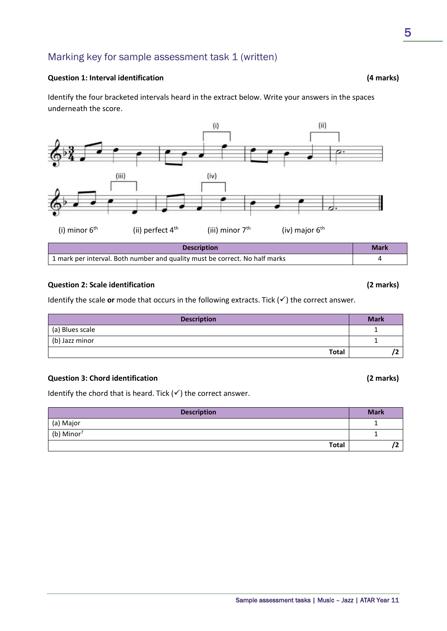# Marking key for sample assessment task 1 (written)

#### **Question 1: Interval identification (4 marks)**

Identify the four bracketed intervals heard in the extract below. Write your answers in the spaces underneath the score.



1 mark per interval. Both number and quality must be correct. No half marks 4

# **Question 2: Scale identification (2 marks)**

Identify the scale or mode that occurs in the following extracts. Tick  $(v)$  the correct answer.

| <b>Description</b> | <b>Mark</b> |
|--------------------|-------------|
| (a) Blues scale    |             |
| (b) Jazz minor     |             |
| <b>Total</b>       |             |

# **Question 3: Chord identification (2 marks)**

Identify the chord that is heard. Tick  $(v')$  the correct answer.

| <b>Description</b>     | <b>Mark</b> |
|------------------------|-------------|
| (a) Major              |             |
| (b) Minor <sup>7</sup> |             |
| <b>Total</b>           |             |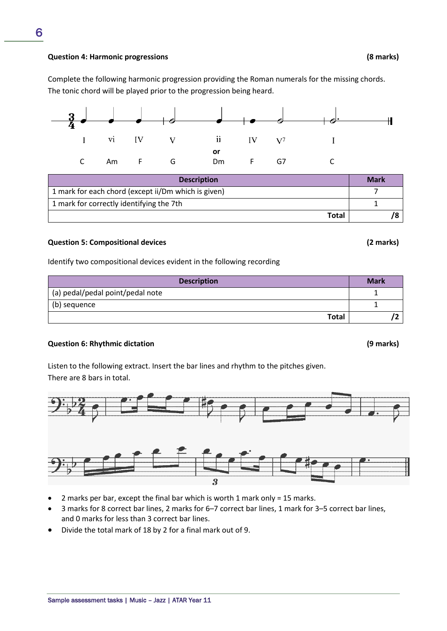#### Sample assessment tasks | Music – Jazz | ATAR Year 11

6

Complete the following harmonic progression providing the Roman numerals for the missing chords. The tonic chord will be played prior to the progression being heard.



| <b>Description</b>                                  | <b>Mark</b> |
|-----------------------------------------------------|-------------|
| 1 mark for each chord (except ii/Dm which is given) |             |
| 1 mark for correctly identifying the 7th            |             |
| Total                                               |             |

## **Question 5: Compositional devices (2 marks)**

Identify two compositional devices evident in the following recording

| <b>Description</b>               | <b>Mark</b> |
|----------------------------------|-------------|
| (a) pedal/pedal point/pedal note |             |
| (b) sequence                     |             |
| <b>Total</b>                     |             |

## **Question 6: Rhythmic dictation (9 marks)**

Listen to the following extract. Insert the bar lines and rhythm to the pitches given. There are 8 bars in total.



- 2 marks per bar, except the final bar which is worth 1 mark only = 15 marks.
- 3 marks for 8 correct bar lines, 2 marks for 6–7 correct bar lines, 1 mark for 3–5 correct bar lines, and 0 marks for less than 3 correct bar lines.
- Divide the total mark of 18 by 2 for a final mark out of 9.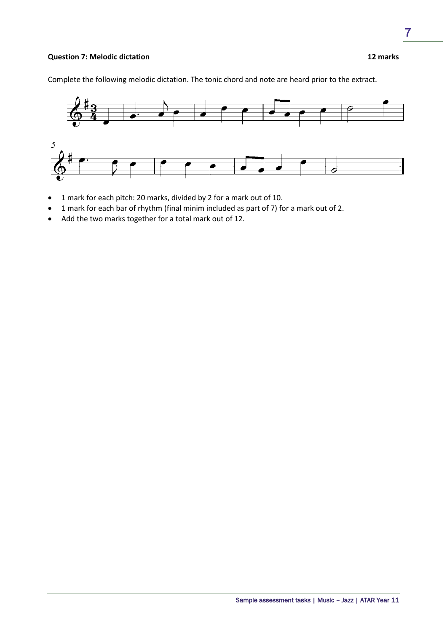# **Question 7: Melodic dictation 12 marks**

Complete the following melodic dictation. The tonic chord and note are heard prior to the extract.



- 1 mark for each pitch: 20 marks, divided by 2 for a mark out of 10.
- 1 mark for each bar of rhythm (final minim included as part of 7) for a mark out of 2.
- Add the two marks together for a total mark out of 12.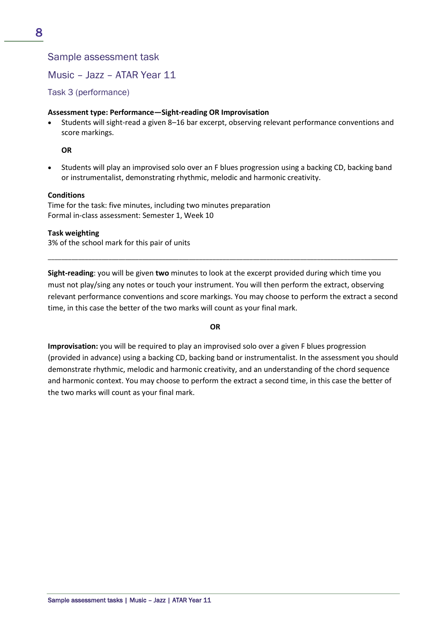Music – Jazz – ATAR Year 11

Task 3 (performance)

# **Assessment type: Performance—Sight-reading OR Improvisation**

• Students will sight-read a given 8–16 bar excerpt, observing relevant performance conventions and score markings.

# **OR**

• Students will play an improvised solo over an F blues progression using a backing CD, backing band or instrumentalist, demonstrating rhythmic, melodic and harmonic creativity.

# **Conditions**

Time for the task: five minutes, including two minutes preparation Formal in-class assessment: Semester 1, Week 10

# **Task weighting**

3% of the school mark for this pair of units

**Sight-reading**: you will be given **two** minutes to look at the excerpt provided during which time you must not play/sing any notes or touch your instrument. You will then perform the extract, observing relevant performance conventions and score markings. You may choose to perform the extract a second time, in this case the better of the two marks will count as your final mark.

\_\_\_\_\_\_\_\_\_\_\_\_\_\_\_\_\_\_\_\_\_\_\_\_\_\_\_\_\_\_\_\_\_\_\_\_\_\_\_\_\_\_\_\_\_\_\_\_\_\_\_\_\_\_\_\_\_\_\_\_\_\_\_\_\_\_\_\_\_\_\_\_\_\_\_\_\_\_\_\_\_\_\_\_\_\_\_\_\_\_\_\_\_\_\_\_\_\_\_\_\_\_\_\_

# **OR**

**Improvisation:** you will be required to play an improvised solo over a given F blues progression (provided in advance) using a backing CD, backing band or instrumentalist. In the assessment you should demonstrate rhythmic, melodic and harmonic creativity, and an understanding of the chord sequence and harmonic context. You may choose to perform the extract a second time, in this case the better of the two marks will count as your final mark.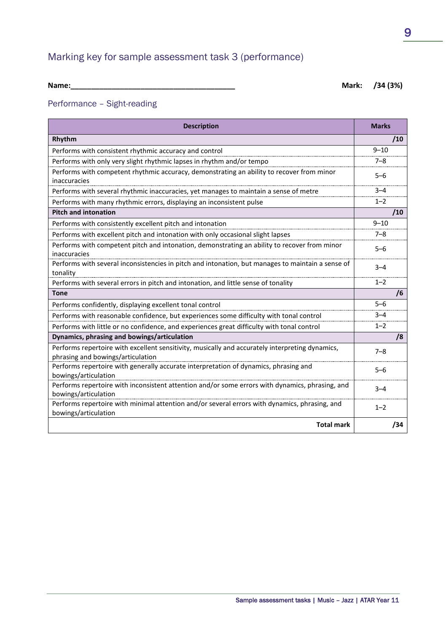# Marking key for sample assessment task 3 (performance)

| <b>Name</b> |  |  |
|-------------|--|--|
|             |  |  |

**Name:\_\_\_\_\_\_\_\_\_\_\_\_\_\_\_\_\_\_\_\_\_\_\_\_\_\_\_\_\_\_\_\_\_\_\_\_\_\_\_\_ Mark: /34 (3%)**

# Performance – Sight-reading

| <b>Description</b>                                                                                                                   | <b>Marks</b> |
|--------------------------------------------------------------------------------------------------------------------------------------|--------------|
| Rhythm                                                                                                                               | /10          |
| Performs with consistent rhythmic accuracy and control                                                                               | $9 - 10$     |
| Performs with only very slight rhythmic lapses in rhythm and/or tempo                                                                | $7 - 8$      |
| Performs with competent rhythmic accuracy, demonstrating an ability to recover from minor<br>inaccuracies                            | $5 - 6$      |
| Performs with several rhythmic inaccuracies, yet manages to maintain a sense of metre                                                | $3 - 4$      |
| Performs with many rhythmic errors, displaying an inconsistent pulse                                                                 | $1 - 2$      |
| <b>Pitch and intonation</b>                                                                                                          | /10          |
| Performs with consistently excellent pitch and intonation                                                                            | $9 - 10$     |
| Performs with excellent pitch and intonation with only occasional slight lapses                                                      | $7 - 8$      |
| Performs with competent pitch and intonation, demonstrating an ability to recover from minor<br>inaccuracies                         | $5 - 6$      |
| Performs with several inconsistencies in pitch and intonation, but manages to maintain a sense of<br>tonality                        | $3 - 4$      |
| Performs with several errors in pitch and intonation, and little sense of tonality                                                   | $1 - 2$      |
| <b>Tone</b>                                                                                                                          | /6           |
| Performs confidently, displaying excellent tonal control                                                                             | $5 - 6$      |
| Performs with reasonable confidence, but experiences some difficulty with tonal control                                              | $3 - 4$      |
| Performs with little or no confidence, and experiences great difficulty with tonal control                                           | $1 - 2$      |
| Dynamics, phrasing and bowings/articulation                                                                                          | /8           |
| Performs repertoire with excellent sensitivity, musically and accurately interpreting dynamics,<br>phrasing and bowings/articulation | $7 - 8$      |
| Performs repertoire with generally accurate interpretation of dynamics, phrasing and<br>bowings/articulation                         | $5 - 6$      |
| Performs repertoire with inconsistent attention and/or some errors with dynamics, phrasing, and<br>bowings/articulation              | $3 - 4$      |
| Performs repertoire with minimal attention and/or several errors with dynamics, phrasing, and<br>bowings/articulation                | $1 - 2$      |
| <b>Total mark</b>                                                                                                                    | /34          |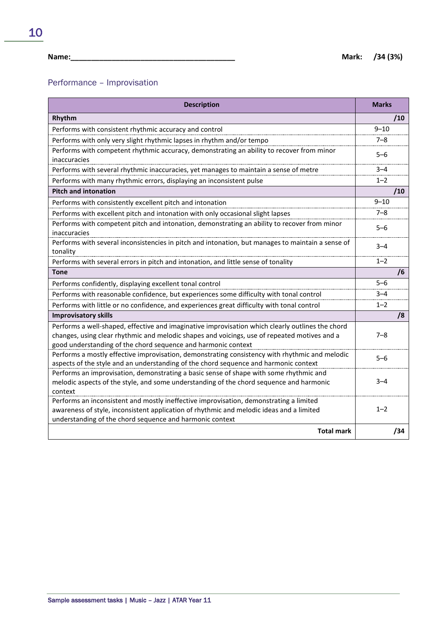10

# Performance – Improvisation

| <b>Description</b>                                                                                                                                                                                                                                                | <b>Marks</b> |
|-------------------------------------------------------------------------------------------------------------------------------------------------------------------------------------------------------------------------------------------------------------------|--------------|
| Rhythm                                                                                                                                                                                                                                                            | /10          |
| Performs with consistent rhythmic accuracy and control                                                                                                                                                                                                            | $9 - 10$     |
| Performs with only very slight rhythmic lapses in rhythm and/or tempo                                                                                                                                                                                             | $7 - 8$      |
| Performs with competent rhythmic accuracy, demonstrating an ability to recover from minor<br>inaccuracies                                                                                                                                                         | $5 - 6$      |
| Performs with several rhythmic inaccuracies, yet manages to maintain a sense of metre                                                                                                                                                                             | $3 - 4$      |
| Performs with many rhythmic errors, displaying an inconsistent pulse                                                                                                                                                                                              | $1 - 2$      |
| <b>Pitch and intonation</b>                                                                                                                                                                                                                                       | /10          |
| Performs with consistently excellent pitch and intonation                                                                                                                                                                                                         | $9 - 10$     |
| Performs with excellent pitch and intonation with only occasional slight lapses                                                                                                                                                                                   | $7 - 8$      |
| Performs with competent pitch and intonation, demonstrating an ability to recover from minor<br>inaccuracies                                                                                                                                                      | $5 - 6$      |
| Performs with several inconsistencies in pitch and intonation, but manages to maintain a sense of<br>tonality                                                                                                                                                     | $3 - 4$      |
| Performs with several errors in pitch and intonation, and little sense of tonality                                                                                                                                                                                | $1 - 2$      |
| <b>Tone</b>                                                                                                                                                                                                                                                       | /6           |
| Performs confidently, displaying excellent tonal control                                                                                                                                                                                                          | $5 - 6$      |
| Performs with reasonable confidence, but experiences some difficulty with tonal control                                                                                                                                                                           | $3 - 4$      |
| Performs with little or no confidence, and experiences great difficulty with tonal control                                                                                                                                                                        | $1 - 2$      |
| <b>Improvisatory skills</b>                                                                                                                                                                                                                                       | /8           |
| Performs a well-shaped, effective and imaginative improvisation which clearly outlines the chord<br>changes, using clear rhythmic and melodic shapes and voicings, use of repeated motives and a<br>good understanding of the chord sequence and harmonic context | $7 - 8$      |
| Performs a mostly effective improvisation, demonstrating consistency with rhythmic and melodic<br>aspects of the style and an understanding of the chord sequence and harmonic context                                                                            | $5 - 6$      |
| Performs an improvisation, demonstrating a basic sense of shape with some rhythmic and<br>melodic aspects of the style, and some understanding of the chord sequence and harmonic<br>context                                                                      | $3 - 4$      |
| Performs an inconsistent and mostly ineffective improvisation, demonstrating a limited<br>awareness of style, inconsistent application of rhythmic and melodic ideas and a limited<br>understanding of the chord sequence and harmonic context                    | $1 - 2$      |
| <b>Total mark</b>                                                                                                                                                                                                                                                 | /34          |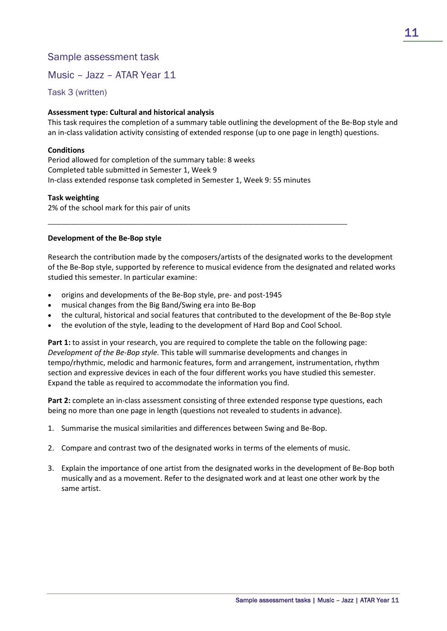Music – Jazz – ATAR Year 11

Task 3 (written)

# **Assessment type: Cultural and historical analysis**

This task requires the completion of a summary table outlining the development of the Be-Bop style and an in-class validation activity consisting of extended response (up to one page in length) questions.

# **Conditions**

Period allowed for completion of the summary table: 8 weeks Completed table submitted in Semester 1, Week 9 In-class extended response task completed in Semester 1, Week 9: 55 minutes

## **Task weighting**

2% of the school mark for this pair of units

# **Development of the Be-Bop style**

Research the contribution made by the composers/artists of the designated works to the development of the Be-Bop style, supported by reference to musical evidence from the designated and related works studied this semester. In particular examine:

- origins and developments of the Be-Bop style, pre- and post-1945
- musical changes from the Big Band/Swing era into Be-Bop
- the cultural, historical and social features that contributed to the development of the Be-Bop style
- the evolution of the style, leading to the development of Hard Bop and Cool School.

\_\_\_\_\_\_\_\_\_\_\_\_\_\_\_\_\_\_\_\_\_\_\_\_\_\_\_\_\_\_\_\_\_\_\_\_\_\_\_\_\_\_\_\_\_\_\_\_\_\_\_\_\_\_\_\_\_\_\_\_\_\_\_\_\_\_\_\_\_\_\_\_\_\_\_\_\_\_\_\_\_\_\_\_\_\_\_\_\_

**Part 1:** to assist in your research, you are required to complete the table on the following page: *Development of the Be-Bop style.* This table will summarise developments and changes in tempo/rhythmic, melodic and harmonic features, form and arrangement, instrumentation, rhythm section and expressive devices in each of the four different works you have studied this semester. Expand the table as required to accommodate the information you find.

**Part 2:** complete an in-class assessment consisting of three extended response type questions, each being no more than one page in length (questions not revealed to students in advance).

- 1. Summarise the musical similarities and differences between Swing and Be-Bop.
- 2. Compare and contrast two of the designated works in terms of the elements of music.
- 3. Explain the importance of one artist from the designated works in the development of Be-Bop both musically and as a movement. Refer to the designated work and at least one other work by the same artist.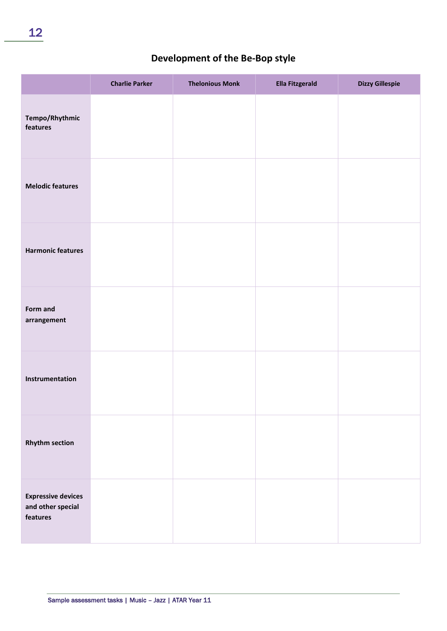# **Development of the Be-Bop style**

|                                                            | <b>Charlie Parker</b> | <b>Thelonious Monk</b> | <b>Ella Fitzgerald</b> | <b>Dizzy Gillespie</b> |
|------------------------------------------------------------|-----------------------|------------------------|------------------------|------------------------|
| Tempo/Rhythmic<br>features                                 |                       |                        |                        |                        |
| <b>Melodic features</b>                                    |                       |                        |                        |                        |
| <b>Harmonic features</b>                                   |                       |                        |                        |                        |
| Form and<br>arrangement                                    |                       |                        |                        |                        |
| Instrumentation                                            |                       |                        |                        |                        |
| <b>Rhythm section</b>                                      |                       |                        |                        |                        |
| <b>Expressive devices</b><br>and other special<br>features |                       |                        |                        |                        |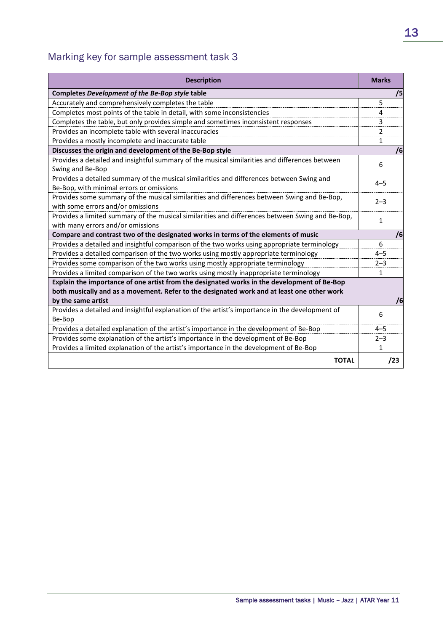# Marking key for sample assessment task 3

| <b>Description</b>                                                                                                                                                                                              | <b>Marks</b>   |
|-----------------------------------------------------------------------------------------------------------------------------------------------------------------------------------------------------------------|----------------|
| Completes Development of the Be-Bop style table                                                                                                                                                                 | /5             |
| Accurately and comprehensively completes the table                                                                                                                                                              | 5              |
| Completes most points of the table in detail, with some inconsistencies                                                                                                                                         | 4              |
| Completes the table, but only provides simple and sometimes inconsistent responses                                                                                                                              | 3              |
| Provides an incomplete table with several inaccuracies                                                                                                                                                          | $\mathfrak{p}$ |
| Provides a mostly incomplete and inaccurate table                                                                                                                                                               | 1              |
| Discusses the origin and development of the Be-Bop style                                                                                                                                                        | /6             |
| Provides a detailed and insightful summary of the musical similarities and differences between<br>Swing and Be-Bop                                                                                              | 6              |
| Provides a detailed summary of the musical similarities and differences between Swing and<br>Be-Bop, with minimal errors or omissions                                                                           | $4 - 5$        |
| Provides some summary of the musical similarities and differences between Swing and Be-Bop,<br>with some errors and/or omissions                                                                                | $2 - 3$        |
| Provides a limited summary of the musical similarities and differences between Swing and Be-Bop,<br>with many errors and/or omissions                                                                           | $\mathbf{1}$   |
| Compare and contrast two of the designated works in terms of the elements of music                                                                                                                              | /6             |
| Provides a detailed and insightful comparison of the two works using appropriate terminology                                                                                                                    | 6              |
| Provides a detailed comparison of the two works using mostly appropriate terminology                                                                                                                            | $4 - 5$        |
| Provides some comparison of the two works using mostly appropriate terminology                                                                                                                                  | $2 - 3$        |
| Provides a limited comparison of the two works using mostly inappropriate terminology                                                                                                                           | $\mathbf{1}$   |
| Explain the importance of one artist from the designated works in the development of Be-Bop<br>both musically and as a movement. Refer to the designated work and at least one other work<br>by the same artist | /6             |
| Provides a detailed and insightful explanation of the artist's importance in the development of                                                                                                                 |                |
| Be-Bop                                                                                                                                                                                                          | 6              |
| Provides a detailed explanation of the artist's importance in the development of Be-Bop                                                                                                                         | $4 - 5$        |
| Provides some explanation of the artist's importance in the development of Be-Bop                                                                                                                               | $2 - 3$        |
| Provides a limited explanation of the artist's importance in the development of Be-Bop                                                                                                                          | 1              |
| <b>TOTAL</b>                                                                                                                                                                                                    | /23            |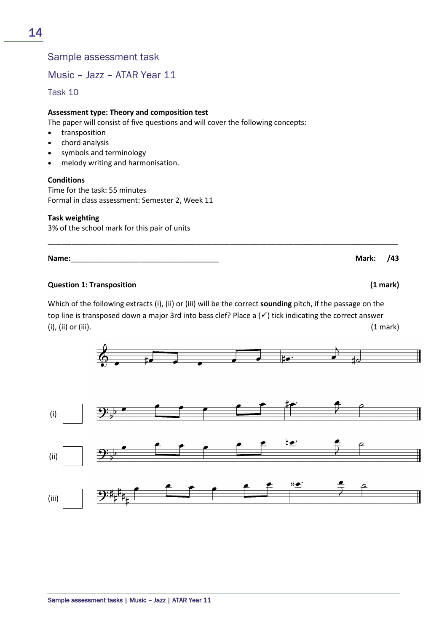Music – Jazz – ATAR Year 11

Task 10

# **Assessment type: Theory and composition test**

The paper will consist of five questions and will cover the following concepts:

- transposition
- chord analysis
- symbols and terminology
- melody writing and harmonisation.

## **Conditions**

Time for the task: 55 minutes Formal in class assessment: Semester 2, Week 11

# **Task weighting**

3% of the school mark for this pair of units

# **Question 1: Transposition (1 mark)**

Which of the following extracts (i), (ii) or (iii) will be the correct **sounding** pitch, if the passage on the top line is transposed down a major 3rd into bass clef? Place a  $(\checkmark)$  tick indicating the correct answer  $(i)$ ,  $(ii)$  or  $(iii)$ .  $(1 \text{ mark})$ 

\_\_\_\_\_\_\_\_\_\_\_\_\_\_\_\_\_\_\_\_\_\_\_\_\_\_\_\_\_\_\_\_\_\_\_\_\_\_\_\_\_\_\_\_\_\_\_\_\_\_\_\_\_\_\_\_\_\_\_\_\_\_\_\_\_\_\_\_\_\_\_\_\_\_\_\_\_\_\_\_\_\_\_\_\_\_\_\_\_\_\_\_\_\_\_\_\_\_\_\_\_\_\_\_





14

**Name:**\_\_\_\_\_\_\_\_\_\_\_\_\_\_\_\_\_\_\_\_\_\_\_\_\_\_\_\_\_\_\_\_\_\_\_\_ **Mark: /43**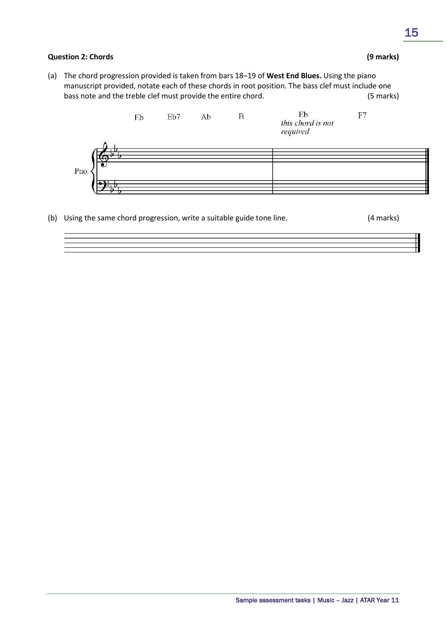# **Question 2: Chords (9 marks)**

(a) The chord progression provided is taken from bars 18–19 of **West End Blues.** Using the piano manuscript provided, notate each of these chords in root position. The bass clef must include one bass note and the treble clef must provide the entire chord. (5 marks)



(b) Using the same chord progression, write a suitable guide tone line. (4 marks)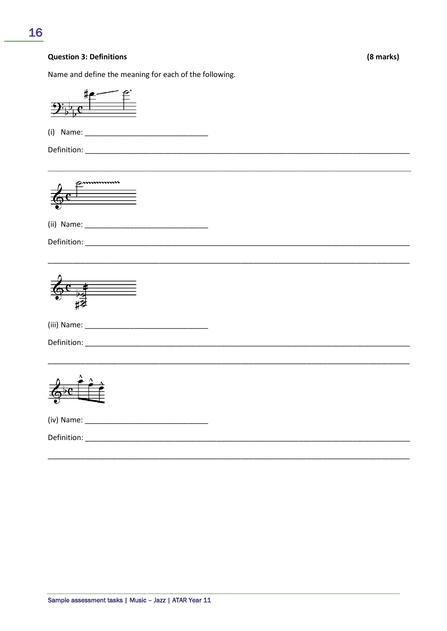#### **Question 3: Definitions**

(8 marks)

Name and define the meaning for each of the following.

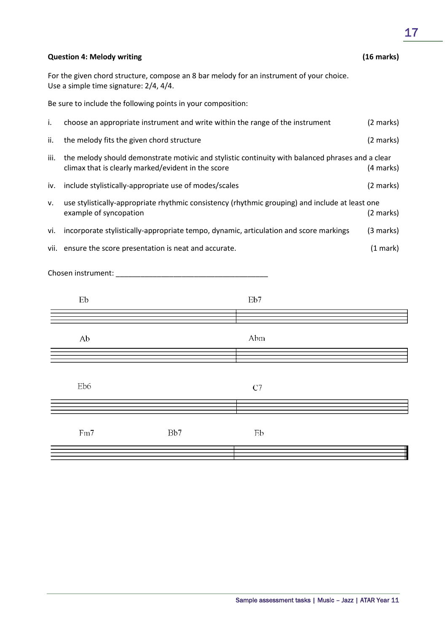|      | <b>Question 4: Melody writing</b>                                                                                                                      |                                                                               |           |                                                                                                 | (16 marks) |
|------|--------------------------------------------------------------------------------------------------------------------------------------------------------|-------------------------------------------------------------------------------|-----------|-------------------------------------------------------------------------------------------------|------------|
|      | For the given chord structure, compose an 8 bar melody for an instrument of your choice.<br>Use a simple time signature: 2/4, 4/4.                     |                                                                               |           |                                                                                                 |            |
|      |                                                                                                                                                        | Be sure to include the following points in your composition:                  |           |                                                                                                 |            |
| i.   |                                                                                                                                                        | choose an appropriate instrument and write within the range of the instrument |           |                                                                                                 | (2 marks)  |
| ii.  |                                                                                                                                                        | the melody fits the given chord structure                                     |           |                                                                                                 | (2 marks)  |
| iii. | the melody should demonstrate motivic and stylistic continuity with balanced phrases and a clear<br>climax that is clearly marked/evident in the score |                                                                               | (4 marks) |                                                                                                 |            |
| iv.  |                                                                                                                                                        | include stylistically-appropriate use of modes/scales                         |           |                                                                                                 | (2 marks)  |
| ٧.   | example of syncopation                                                                                                                                 |                                                                               |           | use stylistically-appropriate rhythmic consistency (rhythmic grouping) and include at least one | (2 marks)  |
| vi.  |                                                                                                                                                        |                                                                               |           | incorporate stylistically-appropriate tempo, dynamic, articulation and score markings           | (3 marks)  |
|      |                                                                                                                                                        | vii. ensure the score presentation is neat and accurate.                      |           |                                                                                                 | (1 mark)   |
|      |                                                                                                                                                        |                                                                               |           |                                                                                                 |            |
|      | Eb                                                                                                                                                     |                                                                               |           | Eb7                                                                                             |            |
|      | Ab                                                                                                                                                     |                                                                               |           | Abm                                                                                             |            |
|      | Eb6                                                                                                                                                    |                                                                               |           | C7                                                                                              |            |
|      | Fm7                                                                                                                                                    | Bb7                                                                           |           | Eb                                                                                              |            |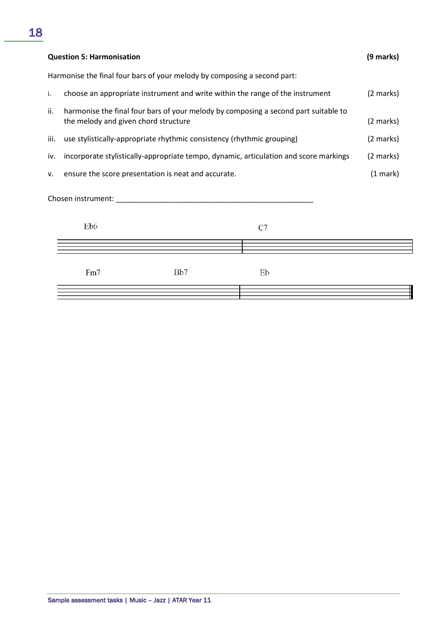|      | <b>Question 5: Harmonisation</b>                                                                                            | (9 marks) |
|------|-----------------------------------------------------------------------------------------------------------------------------|-----------|
|      | Harmonise the final four bars of your melody by composing a second part:                                                    |           |
| i.   | choose an appropriate instrument and write within the range of the instrument                                               | (2 marks) |
| ii.  | harmonise the final four bars of your melody by composing a second part suitable to<br>the melody and given chord structure | (2 marks) |
| iii. | use stylistically-appropriate rhythmic consistency (rhythmic grouping)                                                      | (2 marks) |
| iv.  | incorporate stylistically-appropriate tempo, dynamic, articulation and score markings                                       | (2 marks) |
| v.   | ensure the score presentation is neat and accurate.                                                                         | (1 mark)  |
|      | Chosen instrument:                                                                                                          |           |

| Eb6 |     | C7 |  |
|-----|-----|----|--|
|     |     |    |  |
| Fm7 | Bb7 | Eb |  |
|     |     |    |  |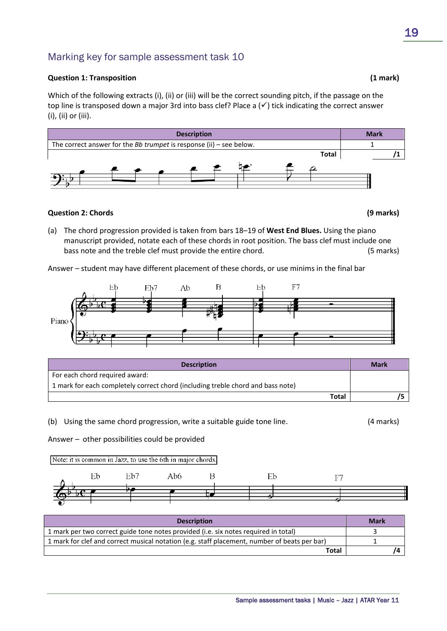# Marking key for sample assessment task 10

## **Question 1: Transposition (1 mark)**

Which of the following extracts (i), (ii) or (iii) will be the correct sounding pitch, if the passage on the top line is transposed down a major 3rd into bass clef? Place a  $(\checkmark)$  tick indicating the correct answer (i), (ii) or (iii).



# **Question 2: Chords (9 marks)**

(a) The chord progression provided is taken from bars 18–19 of **West End Blues.** Using the piano manuscript provided, notate each of these chords in root position. The bass clef must include one bass note and the treble clef must provide the entire chord. (5 marks)

Answer *–* student may have different placement of these chords, or use minims in the final bar



| <b>Description</b>                                                              | <b>Mark</b> |
|---------------------------------------------------------------------------------|-------------|
| For each chord required award:                                                  |             |
| 1 mark for each completely correct chord (including treble chord and bass note) |             |
| <b>Total</b>                                                                    |             |

(b) Using the same chord progression, write a suitable guide tone line. (4 marks)

Answer *–* other possibilities could be provided

Note: it is common in Jazz, to use the 6th in major chords.



| <b>Description</b>                                                                           | <b>Mark</b> |
|----------------------------------------------------------------------------------------------|-------------|
| 1 mark per two correct guide tone notes provided (i.e. six notes required in total)          |             |
| 1 mark for clef and correct musical notation (e.g. staff placement, number of beats per bar) |             |
| <b>Total</b>                                                                                 |             |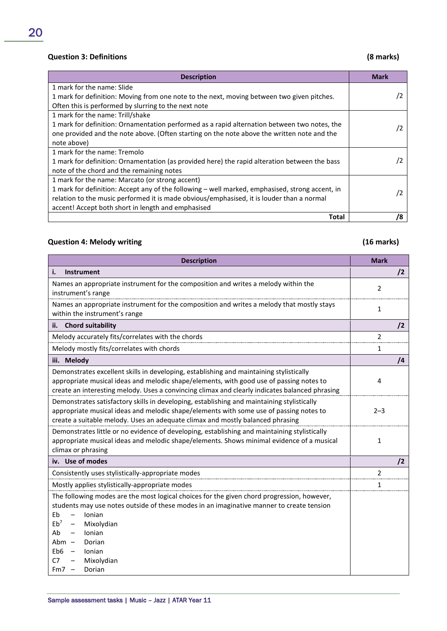# **Question 3: Definitions (8 marks)**

| <b>Description</b>                                                                              | <b>Mark</b> |
|-------------------------------------------------------------------------------------------------|-------------|
| 1 mark for the name: Slide                                                                      |             |
| 1 mark for definition: Moving from one note to the next, moving between two given pitches.      | /2          |
| Often this is performed by slurring to the next note                                            |             |
| 1 mark for the name: Trill/shake                                                                |             |
| 1 mark for definition: Ornamentation performed as a rapid alternation between two notes, the    | /2          |
| one provided and the note above. (Often starting on the note above the written note and the     |             |
| note above)                                                                                     |             |
| 1 mark for the name: Tremolo                                                                    |             |
| 1 mark for definition: Ornamentation (as provided here) the rapid alteration between the bass   | $\sqrt{2}$  |
| note of the chord and the remaining notes                                                       |             |
| 1 mark for the name: Marcato (or strong accent)                                                 |             |
| 1 mark for definition: Accept any of the following - well marked, emphasised, strong accent, in | /2          |
| relation to the music performed it is made obvious/emphasised, it is louder than a normal       |             |
| accent! Accept both short in length and emphasised                                              |             |
| Total                                                                                           | /8          |

# **Question 4: Melody writing (16 marks)**

| <b>Description</b>                                                                                                                                                                                                                                                                                                                                                       | <b>Mark</b>  |
|--------------------------------------------------------------------------------------------------------------------------------------------------------------------------------------------------------------------------------------------------------------------------------------------------------------------------------------------------------------------------|--------------|
| Instrument<br>i.                                                                                                                                                                                                                                                                                                                                                         | $\sqrt{2}$   |
| Names an appropriate instrument for the composition and writes a melody within the<br>instrument's range                                                                                                                                                                                                                                                                 | 2            |
| Names an appropriate instrument for the composition and writes a melody that mostly stays<br>within the instrument's range                                                                                                                                                                                                                                               | 1            |
| ii. Chord suitability                                                                                                                                                                                                                                                                                                                                                    | /2           |
| Melody accurately fits/correlates with the chords                                                                                                                                                                                                                                                                                                                        | 2            |
| Melody mostly fits/correlates with chords                                                                                                                                                                                                                                                                                                                                | 1            |
| iii. Melody                                                                                                                                                                                                                                                                                                                                                              | $\sqrt{4}$   |
| Demonstrates excellent skills in developing, establishing and maintaining stylistically<br>appropriate musical ideas and melodic shape/elements, with good use of passing notes to<br>create an interesting melody. Uses a convincing climax and clearly indicates balanced phrasing                                                                                     | 4            |
| Demonstrates satisfactory skills in developing, establishing and maintaining stylistically<br>appropriate musical ideas and melodic shape/elements with some use of passing notes to<br>create a suitable melody. Uses an adequate climax and mostly balanced phrasing                                                                                                   | $2 - 3$      |
| Demonstrates little or no evidence of developing, establishing and maintaining stylistically<br>appropriate musical ideas and melodic shape/elements. Shows minimal evidence of a musical<br>climax or phrasing                                                                                                                                                          | $\mathbf{1}$ |
| iv. Use of modes                                                                                                                                                                                                                                                                                                                                                         | $\sqrt{2}$   |
| Consistently uses stylistically-appropriate modes                                                                                                                                                                                                                                                                                                                        | 2            |
| Mostly applies stylistically-appropriate modes                                                                                                                                                                                                                                                                                                                           | 1            |
| The following modes are the most logical choices for the given chord progression, however,<br>students may use notes outside of these modes in an imaginative manner to create tension<br>Eb<br>Ionian<br>$\qquad \qquad -$<br>$Eb^7$<br>Mixolydian<br>Ionian<br>Ab<br>Dorian<br>Abm –<br>Eb6<br>Ionian<br>Mixolydian<br>C7<br>Dorian<br>Fm7<br>$\overline{\phantom{0}}$ |              |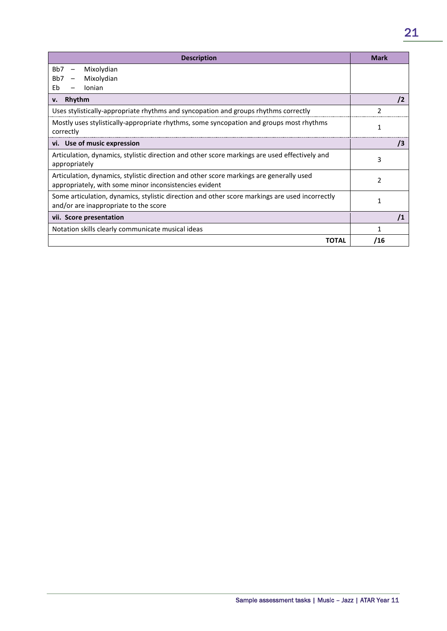| <b>Description</b>                                                                                                                                | Mark           |
|---------------------------------------------------------------------------------------------------------------------------------------------------|----------------|
| B <sub>b</sub> 7<br>Mixolydian<br>$\qquad \qquad -$                                                                                               |                |
| B <sub>b</sub> 7<br>Mixolydian<br>$\overline{\phantom{a}}$                                                                                        |                |
| Ionian<br>Fh                                                                                                                                      |                |
| Rhythm<br>v.                                                                                                                                      | $\overline{2}$ |
| Uses stylistically-appropriate rhythms and syncopation and groups rhythms correctly                                                               |                |
| Mostly uses stylistically-appropriate rhythms, some syncopation and groups most rhythms<br>correctly                                              | 1              |
| vi. Use of music expression                                                                                                                       | 13             |
| Articulation, dynamics, stylistic direction and other score markings are used effectively and<br>appropriately                                    | 3              |
| Articulation, dynamics, stylistic direction and other score markings are generally used<br>appropriately, with some minor inconsistencies evident | $\mathfrak z$  |
| Some articulation, dynamics, stylistic direction and other score markings are used incorrectly<br>and/or are inappropriate to the score           |                |
| vii. Score presentation                                                                                                                           |                |
| Notation skills clearly communicate musical ideas                                                                                                 |                |
| TOTAL                                                                                                                                             | /16            |